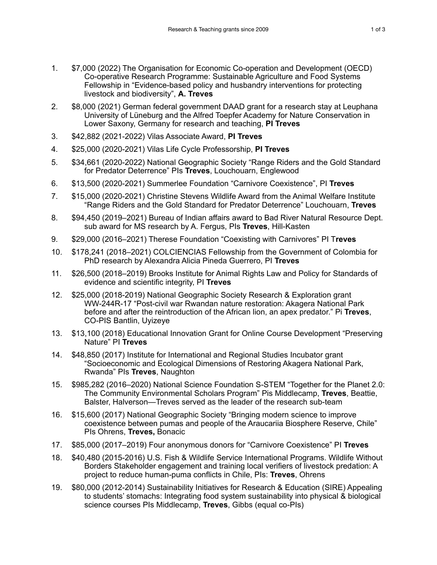- 1. \$7,000 (2022) The Organisation for Economic Co-operation and Development (OECD) Co-operative Research Programme: Sustainable Agriculture and Food Systems Fellowship in "Evidence-based policy and husbandry interventions for protecting livestock and biodiversity", **A. Treves**
- 2. \$8,000 (2021) German federal government DAAD grant for a research stay at Leuphana University of Lüneburg and the Alfred Toepfer Academy for Nature Conservation in Lower Saxony, Germany for research and teaching, **PI Treves**
- 3. \$42,882 (2021-2022) Vilas Associate Award, **PI Treves**
- 4. \$25,000 (2020-2021) Vilas Life Cycle Professorship, **PI Treves**
- 5. \$34,661 (2020-2022) National Geographic Society "Range Riders and the Gold Standard for Predator Deterrence" PIs **Treves**, Louchouarn, Englewood
- 6. \$13,500 (2020-2021) Summerlee Foundation "Carnivore Coexistence", PI **Treves**
- 7. \$15,000 (2020-2021) Christine Stevens Wildlife Award from the Animal Welfare Institute "Range Riders and the Gold Standard for Predator Deterrence" Louchouarn, **Treves**
- 8. \$94,450 (2019–2021) Bureau of Indian affairs award to Bad River Natural Resource Dept. sub award for MS research by A. Fergus, PIs **Treves**, Hill-Kasten
- 9. \$29,000 (2016–2021) Therese Foundation "Coexisting with Carnivores" PI T**reves**
- 10. \$178,241 (2018–2021) COLCIENCIAS Fellowship from the Government of Colombia for PhD research by Alexandra Alicia Pineda Guerrero, PI **Treves**
- 11. \$26,500 (2018–2019) Brooks Institute for Animal Rights Law and Policy for Standards of evidence and scientific integrity, PI **Treves**
- 12. \$25,000 (2018-2019) National Geographic Society Research & Exploration grant WW-244R-17 "Post-civil war Rwandan nature restoration: Akagera National Park before and after the reintroduction of the African lion, an apex predator." Pi **Treves**, CO-PIS Bantlin, Uyizeye
- 13. \$13,100 (2018) Educational Innovation Grant for Online Course Development "Preserving Nature" PI **Treves**
- 14. \$48,850 (2017) Institute for International and Regional Studies Incubator grant "Socioeconomic and Ecological Dimensions of Restoring Akagera National Park, Rwanda" PIs **Treves**, Naughton
- 15. \$985,282 (2016–2020) National Science Foundation S-STEM "Together for the Planet 2.0: The Community Environmental Scholars Program" Pis Middlecamp, **Treves**, Beattie, Balster, Halverson—Treves served as the leader of the research sub-team
- 16. \$15,600 (2017) National Geographic Society "Bringing modern science to improve coexistence between pumas and people of the Araucariia Biosphere Reserve, Chile" PIs Ohrens, **Treves,** Bonacic
- 17. \$85,000 (2017–2019) Four anonymous donors for "Carnivore Coexistence" PI **Treves**
- 18. \$40,480 (2015-2016) U.S. Fish & Wildlife Service International Programs. Wildlife Without Borders Stakeholder engagement and training local verifiers of livestock predation: A project to reduce human-puma conflicts in Chile, PIs: **Treves**, Ohrens
- 19. \$80,000 (2012-2014) Sustainability Initiatives for Research & Education (SIRE) Appealing to students' stomachs: Integrating food system sustainability into physical & biological science courses PIs Middlecamp, **Treves**, Gibbs (equal co-PIs)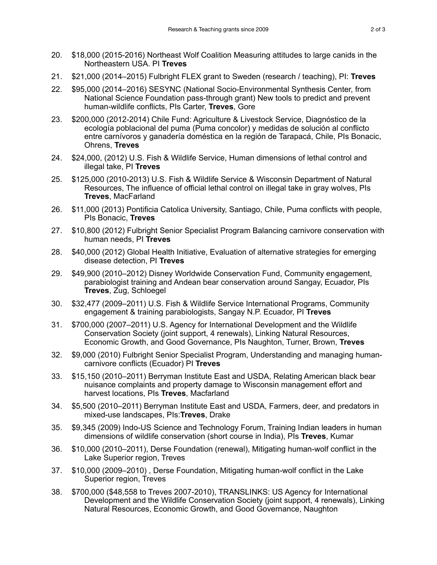- 20. \$18,000 (2015-2016) Northeast Wolf Coalition Measuring attitudes to large canids in the Northeastern USA. PI **Treves**
- 21. \$21,000 (2014–2015) Fulbright FLEX grant to Sweden (research / teaching), PI: **Treves**
- 22. \$95,000 (2014–2016) SESYNC (National Socio-Environmental Synthesis Center, from National Science Foundation pass-through grant) New tools to predict and prevent human-wildlife conflicts, PIs Carter, **Treves**, Gore
- 23. \$200,000 (2012-2014) Chile Fund: Agriculture & Livestock Service, Diagnóstico de la ecología poblacional del puma (Puma concolor) y medidas de solución al conflicto entre carnívoros y ganadería doméstica en la región de Tarapacá, Chile, PIs Bonacic, Ohrens, **Treves**
- 24. \$24,000, (2012) U.S. Fish & Wildlife Service, Human dimensions of lethal control and illegal take, PI **Treves**
- 25. \$125,000 (2010-2013) U.S. Fish & Wildlife Service & Wisconsin Department of Natural Resources, The influence of official lethal control on illegal take in gray wolves, PIs **Treves**, MacFarland
- 26. \$11,000 (2013) Pontificia Catolica University, Santiago, Chile, Puma conflicts with people, PIs Bonacic, **Treves**
- 27. \$10,800 (2012) Fulbright Senior Specialist Program Balancing carnivore conservation with human needs, PI **Treves**
- 28. \$40,000 (2012) Global Health Initiative, Evaluation of alternative strategies for emerging disease detection, PI **Treves**
- 29. \$49,900 (2010–2012) Disney Worldwide Conservation Fund, Community engagement, parabiologist training and Andean bear conservation around Sangay, Ecuador, PIs **Treves**, Zug, Schloegel
- 30. \$32,477 (2009–2011) U.S. Fish & Wildlife Service International Programs, Community engagement & training parabiologists, Sangay N.P. Ecuador, PI **Treves**
- 31. \$700,000 (2007–2011) U.S. Agency for International Development and the Wildlife Conservation Society (joint support, 4 renewals), Linking Natural Resources, Economic Growth, and Good Governance, PIs Naughton, Turner, Brown, **Treves**
- 32. \$9,000 (2010) Fulbright Senior Specialist Program, Understanding and managing humancarnivore conflicts (Ecuador) PI **Treves**
- 33. \$15,150 (2010–2011) Berryman Institute East and USDA, Relating American black bear nuisance complaints and property damage to Wisconsin management effort and harvest locations, PIs **Treves**, Macfarland
- 34. \$5,500 (2010–2011) Berryman Institute East and USDA, Farmers, deer, and predators in mixed-use landscapes, PIs:**Treves**, Drake
- 35. \$9,345 (2009) Indo-US Science and Technology Forum, Training Indian leaders in human dimensions of wildlife conservation (short course in India), PIs **Treves**, Kumar
- 36. \$10,000 (2010–2011), Derse Foundation (renewal), Mitigating human-wolf conflict in the Lake Superior region, Treves
- 37. \$10,000 (2009–2010) , Derse Foundation, Mitigating human-wolf conflict in the Lake Superior region, Treves
- 38. \$700,000 (\$48,558 to Treves 2007-2010), TRANSLINKS: US Agency for International Development and the Wildlife Conservation Society (joint support, 4 renewals), Linking Natural Resources, Economic Growth, and Good Governance, Naughton